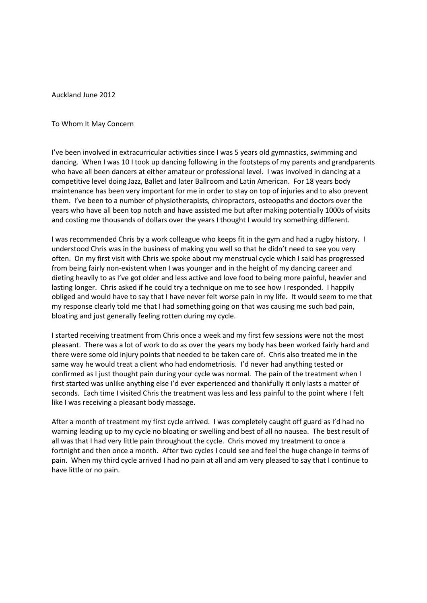Auckland June 2012

## To Whom It May Concern

I've been involved in extracurricular activities since I was 5 years old gymnastics, swimming and dancing. When I was 10 I took up dancing following in the footsteps of my parents and grandparents who have all been dancers at either amateur or professional level. I was involved in dancing at a competitive level doing Jazz, Ballet and later Ballroom and Latin American. For 18 years body maintenance has been very important for me in order to stay on top of injuries and to also prevent them. I've been to a number of physiotherapists, chiropractors, osteopaths and doctors over the years who have all been top notch and have assisted me but after making potentially 1000s of visits and costing me thousands of dollars over the years I thought I would try something different.

I was recommended Chris by a work colleague who keeps fit in the gym and had a rugby history. I understood Chris was in the business of making you well so that he didn't need to see you very often. On my first visit with Chris we spoke about my menstrual cycle which I said has progressed from being fairly non-existent when I was younger and in the height of my dancing career and dieting heavily to as I've got older and less active and love food to being more painful, heavier and lasting longer. Chris asked if he could try a technique on me to see how I responded. I happily obliged and would have to say that I have never felt worse pain in my life. It would seem to me that my response clearly told me that I had something going on that was causing me such bad pain, bloating and just generally feeling rotten during my cycle.

I started receiving treatment from Chris once a week and my first few sessions were not the most pleasant. There was a lot of work to do as over the years my body has been worked fairly hard and there were some old injury points that needed to be taken care of. Chris also treated me in the same way he would treat a client who had endometriosis. I'd never had anything tested or confirmed as I just thought pain during your cycle was normal. The pain of the treatment when I first started was unlike anything else I'd ever experienced and thankfully it only lasts a matter of seconds. Each time I visited Chris the treatment was less and less painful to the point where I felt like I was receiving a pleasant body massage.

After a month of treatment my first cycle arrived. I was completely caught off guard as I'd had no warning leading up to my cycle no bloating or swelling and best of all no nausea. The best result of all was that I had very little pain throughout the cycle. Chris moved my treatment to once a fortnight and then once a month. After two cycles I could see and feel the huge change in terms of pain. When my third cycle arrived I had no pain at all and am very pleased to say that I continue to have little or no pain.